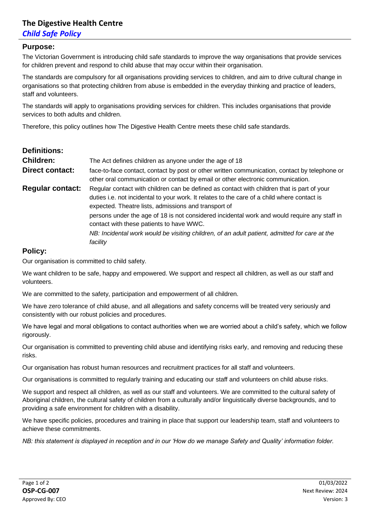## **The Digestive Health Centre**

### *Child Safe Policy*

#### **Purpose:**

The Victorian Government is introducing child safe standards to improve the way organisations that provide services for children prevent and respond to child abuse that may occur within their organisation.

The standards are compulsory for all organisations providing services to children, and aim to drive cultural change in organisations so that protecting children from abuse is embedded in the everyday thinking and practice of leaders, staff and volunteers.

The standards will apply to organisations providing services for children. This includes organisations that provide services to both adults and children.

Therefore, this policy outlines how The Digestive Health Centre meets these child safe standards.

| <b>Definitions:</b>     |                                                                                                                                                                                                                                                                                                                                                                                               |  |  |
|-------------------------|-----------------------------------------------------------------------------------------------------------------------------------------------------------------------------------------------------------------------------------------------------------------------------------------------------------------------------------------------------------------------------------------------|--|--|
| <b>Children:</b>        | The Act defines children as anyone under the age of 18                                                                                                                                                                                                                                                                                                                                        |  |  |
| <b>Direct contact:</b>  | face-to-face contact, contact by post or other written communication, contact by telephone or<br>other oral communication or contact by email or other electronic communication.                                                                                                                                                                                                              |  |  |
| <b>Regular contact:</b> | Regular contact with children can be defined as contact with children that is part of your<br>duties i.e. not incidental to your work. It relates to the care of a child where contact is<br>expected. Theatre lists, admissions and transport of<br>persons under the age of 18 is not considered incidental work and would require any staff in<br>contact with these patients to have WWC. |  |  |
|                         | NB: Incidental work would be visiting children, of an adult patient, admitted for care at the<br>facility                                                                                                                                                                                                                                                                                     |  |  |

#### **Policy:**

Our organisation is committed to child safety.

We want children to be safe, happy and empowered. We support and respect all children, as well as our staff and volunteers.

We are committed to the safety, participation and empowerment of all children.

We have zero tolerance of child abuse, and all allegations and safety concerns will be treated very seriously and consistently with our robust policies and procedures.

We have legal and moral obligations to contact authorities when we are worried about a child's safety, which we follow rigorously.

Our organisation is committed to preventing child abuse and identifying risks early, and removing and reducing these risks.

Our organisation has robust human resources and recruitment practices for all staff and volunteers.

Our organisations is committed to regularly training and educating our staff and volunteers on child abuse risks.

We support and respect all children, as well as our staff and volunteers. We are committed to the cultural safety of Aboriginal children, the cultural safety of children from a culturally and/or linguistically diverse backgrounds, and to providing a safe environment for children with a disability.

We have specific policies, procedures and training in place that support our leadership team, staff and volunteers to achieve these commitments.

*NB: this statement is displayed in reception and in our 'How do we manage Safety and Quality' information folder.*